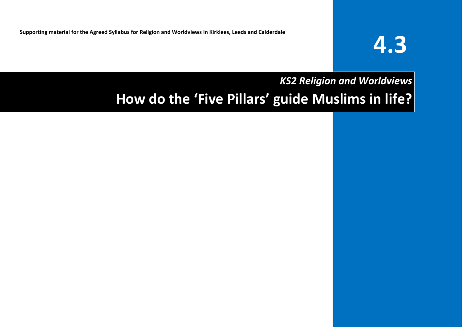**Supporting material for the Agreed Syllabus for Religion and Worldviews in Kirklees, Leeds and Calderdale**

# **4.3**

# *KS2 Religion and Worldviews* **How do the 'Five Pillars' guide Muslims in life?**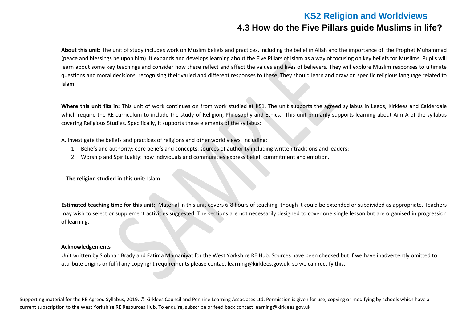# **KS2 Religion and Worldviews 4.3 How do the Five Pillars guide Muslims in life?**

**About this unit:** The unit of study includes work on Muslim beliefs and practices, including the belief in Allah and the importance of the Prophet Muhammad (peace and blessings be upon him). It expands and develops learning about the Five Pillars of Islam as a way of focusing on key beliefs for Muslims. Pupils will learn about some key teachings and consider how these reflect and affect the values and lives of believers. They will explore Muslim responses to ultimate questions and moral decisions, recognising their varied and different responses to these. They should learn and draw on specific religious language related to Islam.

**Where this unit fits in:** This unit of work continues on from work studied at KS1. The unit supports the agreed syllabus in Leeds, Kirklees and Calderdale which require the RE curriculum to include the study of Religion, Philosophy and Ethics. This unit primarily supports learning about Aim A of the syllabus covering Religious Studies. Specifically, it supports these elements of the syllabus:

A. Investigate the beliefs and practices of religions and other world views, including:

- 1. Beliefs and authority: core beliefs and concepts; sources of authority including written traditions and leaders;
- 2. Worship and Spirituality: how individuals and communities express belief, commitment and emotion.

**The religion studied in this unit:** Islam

**Estimated teaching time for this unit:** Material in this unit covers 6-8 hours of teaching, though it could be extended or subdivided as appropriate. Teachers may wish to select or supplement activities suggested. The sections are not necessarily designed to cover one single lesson but are organised in progression of learning.

#### **Acknowledgements**

Unit written by Siobhan Brady and Fatima Mamaniyat for the West Yorkshire RE Hub. Sources have been checked but if we have inadvertently omitted to attribute origins or fulfil any copyright requirements please contact [learning@kirklees.gov.uk](mailto:contact%20learning@kirklees.gov.uk) so we can rectify this.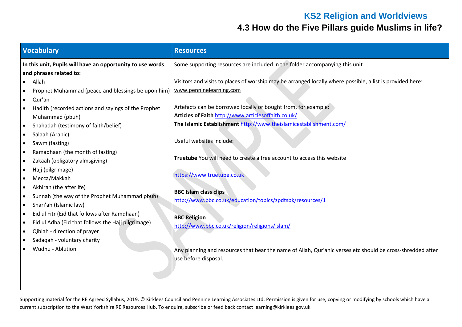# **KS2 Religion and Worldviews**

# **4.3 How do the Five Pillars guide Muslims in life?**

| Vocabulary                                                                                                                                                                                                                                                                                                                                                                                                                                                                                                                                                                                                                                                                                                                                                                                                                                                                        | <b>Resources</b>                                                                                                                                                                                                                                                                                                                                                                                                                                                                                                                                                                                                                                                                                                                                                                   |
|-----------------------------------------------------------------------------------------------------------------------------------------------------------------------------------------------------------------------------------------------------------------------------------------------------------------------------------------------------------------------------------------------------------------------------------------------------------------------------------------------------------------------------------------------------------------------------------------------------------------------------------------------------------------------------------------------------------------------------------------------------------------------------------------------------------------------------------------------------------------------------------|------------------------------------------------------------------------------------------------------------------------------------------------------------------------------------------------------------------------------------------------------------------------------------------------------------------------------------------------------------------------------------------------------------------------------------------------------------------------------------------------------------------------------------------------------------------------------------------------------------------------------------------------------------------------------------------------------------------------------------------------------------------------------------|
| In this unit, Pupils will have an opportunity to use words<br>and phrases related to:                                                                                                                                                                                                                                                                                                                                                                                                                                                                                                                                                                                                                                                                                                                                                                                             | Some supporting resources are included in the folder accompanying this unit.                                                                                                                                                                                                                                                                                                                                                                                                                                                                                                                                                                                                                                                                                                       |
| Allah<br>$\bullet$<br>Prophet Muhammad (peace and blessings be upon him)<br>$\bullet$<br>Qur'an<br>$\bullet$<br>Hadith (recorded actions and sayings of the Prophet<br>$\bullet$<br>Muhammad (pbuh)<br>Shahadah (testimony of faith/belief)<br>$\bullet$<br>Salaah (Arabic)<br>$\bullet$<br>Sawm (fasting)<br>$\bullet$<br>Ramadhaan (the month of fasting)<br>$\bullet$<br>Zakaah (obligatory almsgiving)<br>$\bullet$<br>Hajj (pilgrimage)<br>$\bullet$<br>Mecca/Makkah<br>$\bullet$<br>Akhirah (the afterlife)<br>$\bullet$<br>Sunnah (the way of the Prophet Muhammad pbuh)<br>$\bullet$<br>Shari'ah (Islamic law)<br>$\bullet$<br>Eid ul Fitr (Eid that follows after Ramdhaan)<br>$\bullet$<br>Eid ul Adha (Eid that follows the Hajj pilgrimage)<br>$\bullet$<br>Qiblah - direction of prayer<br>$\bullet$<br>Sadaqah - voluntary charity<br>$\bullet$<br>Wudhu - Ablution | Visitors and visits to places of worship may be arranged locally where possible, a list is provided here:<br>www.penninelearning.com<br>Artefacts can be borrowed locally or bought from, for example:<br>Articles of Faith http://www.articlesoffaith.co.uk/<br>The Islamic Establishment http://www.theislamicestablishment.com/<br>Useful websites include:<br>Truetube You will need to create a free account to access this website<br>https://www.truetube.co.uk<br><b>BBC Islam class clips</b><br>http://www.bbc.co.uk/education/topics/zpdtsbk/resources/1<br><b>BBC Religion</b><br>http://www.bbc.co.uk/religion/religions/islam/<br>Any planning and resources that bear the name of Allah, Qur'anic verses etc should be cross-shredded after<br>use before disposal. |
|                                                                                                                                                                                                                                                                                                                                                                                                                                                                                                                                                                                                                                                                                                                                                                                                                                                                                   |                                                                                                                                                                                                                                                                                                                                                                                                                                                                                                                                                                                                                                                                                                                                                                                    |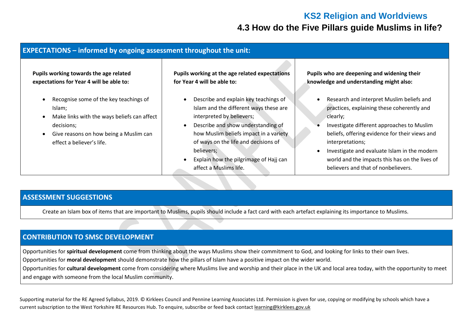# **KS2 Religion and Worldviews 4.3 How do the Five Pillars guide Muslims in life?**

| <b>EXPECTATIONS</b> – informed by ongoing assessment throughout the unit:                                                                                                            |                                                                                                                                                                                                                                                                                                                                                  |                                                                                                                                                                                                                                                                                                                                                                  |  |  |
|--------------------------------------------------------------------------------------------------------------------------------------------------------------------------------------|--------------------------------------------------------------------------------------------------------------------------------------------------------------------------------------------------------------------------------------------------------------------------------------------------------------------------------------------------|------------------------------------------------------------------------------------------------------------------------------------------------------------------------------------------------------------------------------------------------------------------------------------------------------------------------------------------------------------------|--|--|
| Pupils working towards the age related<br>expectations for Year 4 will be able to:                                                                                                   | Pupils working at the age related expectations<br>for Year 4 will be able to:                                                                                                                                                                                                                                                                    | Pupils who are deepening and widening their<br>knowledge and understanding might also:                                                                                                                                                                                                                                                                           |  |  |
| Recognise some of the key teachings of<br>Islam;<br>Make links with the ways beliefs can affect<br>decisions;<br>Give reasons on how being a Muslim can<br>effect a believer's life. | Describe and explain key teachings of<br>$\bullet$<br>Islam and the different ways these are<br>interpreted by believers;<br>Describe and show understanding of<br>$\bullet$<br>how Muslim beliefs impact in a variety<br>of ways on the life and decisions of<br>believers;<br>Explain how the pilgrimage of Hajj can<br>affect a Muslims life. | Research and interpret Muslim beliefs and<br>practices, explaining these coherently and<br>clearly;<br>Investigate different approaches to Muslim<br>beliefs, offering evidence for their views and<br>interpretations;<br>Investigate and evaluate Islam in the modern<br>world and the impacts this has on the lives of<br>believers and that of nonbelievers. |  |  |

#### **ASSESSMENT SUGGESTIONS**

Create an Islam box of items that are important to Muslims, pupils should include a fact card with each artefact explaining its importance to Muslims.

#### **CONTRIBUTION TO SMSC DEVELOPMENT**

Opportunities for **spiritual development** come from thinking about the ways Muslims show their commitment to God, and looking for links to their own lives.

Opportunities for **moral development** should demonstrate how the pillars of Islam have a positive impact on the wider world.

Opportunities for **cultural development** come from considering where Muslims live and worship and their place in the UK and local area today, with the opportunity to meet and engage with someone from the local Muslim community.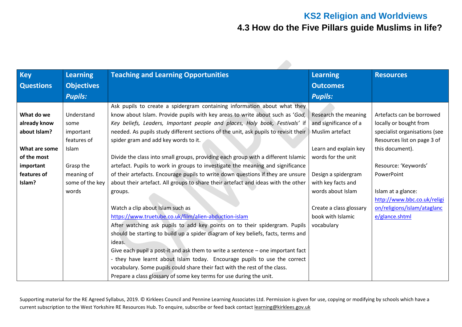# **KS2 Religion and Worldviews 4.3 How do the Five Pillars guide Muslims in life?**

| <b>Key</b>       | <b>Learning</b>   |                                                                                     |                         | <b>Resources</b>              |
|------------------|-------------------|-------------------------------------------------------------------------------------|-------------------------|-------------------------------|
|                  |                   | <b>Teaching and Learning Opportunities</b>                                          | <b>Learning</b>         |                               |
| <b>Questions</b> | <b>Objectives</b> |                                                                                     | <b>Outcomes</b>         |                               |
|                  | <b>Pupils:</b>    |                                                                                     | <b>Pupils:</b>          |                               |
|                  |                   | Ask pupils to create a spidergram containing information about what they            |                         |                               |
| What do we       | Understand        | know about Islam. Provide pupils with key areas to write about such as 'God,        | Research the meaning    | Artefacts can be borrowed     |
| already know     | some              | Key beliefs, Leaders, Important people and places, Holy book, Festivals' if         | and significance of a   | locally or bought from        |
| about Islam?     | important         | needed. As pupils study different sections of the unit, ask pupils to revisit their | Muslim artefact         | specialist organisations (see |
|                  | features of       | spider gram and add key words to it.                                                |                         | Resources list on page 3 of   |
| What are some    | Islam             |                                                                                     | Learn and explain key   | this document).               |
| of the most      |                   | Divide the class into small groups, providing each group with a different Islamic   | words for the unit      |                               |
| important        | Grasp the         | artefact. Pupils to work in groups to investigate the meaning and significance      |                         | Resource: 'Keywords'          |
| features of      | meaning of        | of their artefacts. Encourage pupils to write down questions if they are unsure     | Design a spidergram     | PowerPoint                    |
| Islam?           | some of the key   | about their artefact. All groups to share their artefact and ideas with the other   | with key facts and      |                               |
|                  | words             | groups.                                                                             | words about Islam       | Islam at a glance:            |
|                  |                   |                                                                                     |                         | http://www.bbc.co.uk/religi   |
|                  |                   | Watch a clip about Islam such as                                                    | Create a class glossary | on/religions/islam/ataglanc   |
|                  |                   | https://www.truetube.co.uk/film/alien-abduction-islam                               | book with Islamic       | e/glance.shtml                |
|                  |                   | After watching ask pupils to add key points on to their spidergram. Pupils          | vocabulary              |                               |
|                  |                   | should be starting to build up a spider diagram of key beliefs, facts, terms and    |                         |                               |
|                  |                   | ideas.                                                                              |                         |                               |
|                  |                   | Give each pupil a post-it and ask them to write a sentence – one important fact     |                         |                               |
|                  |                   | - they have learnt about Islam today. Encourage pupils to use the correct           |                         |                               |
|                  |                   | vocabulary. Some pupils could share their fact with the rest of the class.          |                         |                               |
|                  |                   | Prepare a class glossary of some key terms for use during the unit.                 |                         |                               |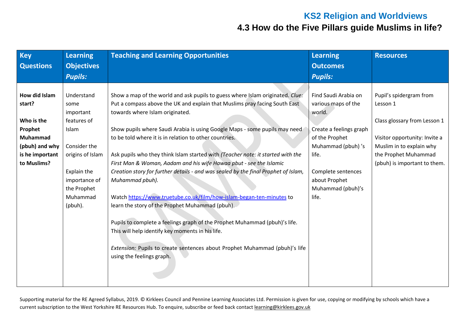# **KS2 Religion and Worldviews**

# **4.3 How do the Five Pillars guide Muslims in life?**

| <b>Key</b>                                                                                                              | <b>Learning</b>                                                                                                                                                   | <b>Teaching and Learning Opportunities</b>                                                                                                                                                                                                                                                                                                                                                                                                                                                                                                                                                                                                                                                                                                                                                                                                                                                                                                          | <b>Learning</b>                                                                                                                                                                                       | <b>Resources</b>                                                                                                                                                                         |
|-------------------------------------------------------------------------------------------------------------------------|-------------------------------------------------------------------------------------------------------------------------------------------------------------------|-----------------------------------------------------------------------------------------------------------------------------------------------------------------------------------------------------------------------------------------------------------------------------------------------------------------------------------------------------------------------------------------------------------------------------------------------------------------------------------------------------------------------------------------------------------------------------------------------------------------------------------------------------------------------------------------------------------------------------------------------------------------------------------------------------------------------------------------------------------------------------------------------------------------------------------------------------|-------------------------------------------------------------------------------------------------------------------------------------------------------------------------------------------------------|------------------------------------------------------------------------------------------------------------------------------------------------------------------------------------------|
| <b>Questions</b>                                                                                                        | <b>Objectives</b>                                                                                                                                                 |                                                                                                                                                                                                                                                                                                                                                                                                                                                                                                                                                                                                                                                                                                                                                                                                                                                                                                                                                     | <b>Outcomes</b>                                                                                                                                                                                       |                                                                                                                                                                                          |
|                                                                                                                         | <b>Pupils:</b>                                                                                                                                                    |                                                                                                                                                                                                                                                                                                                                                                                                                                                                                                                                                                                                                                                                                                                                                                                                                                                                                                                                                     | <b>Pupils:</b>                                                                                                                                                                                        |                                                                                                                                                                                          |
| How did Islam<br>start?<br>Who is the<br>Prophet<br><b>Muhammad</b><br>(pbuh) and why<br>is he important<br>to Muslims? | Understand<br>some<br>important<br>features of<br>Islam<br>Consider the<br>origins of Islam<br>Explain the<br>importance of<br>the Prophet<br>Muhammad<br>(pbuh). | Show a map of the world and ask pupils to guess where Islam originated. Clue:<br>Put a compass above the UK and explain that Muslims pray facing South East<br>towards where Islam originated.<br>Show pupils where Saudi Arabia is using Google Maps - some pupils may need<br>to be told where it is in relation to other countries.<br>Ask pupils who they think Islam started with (Teacher note: it started with the<br>First Man & Woman, Aadam and his wife Hawaa pbut - see the Islamic<br>Creation story for further details - and was sealed by the final Prophet of Islam,<br>Muhammad pbuh).<br>Watch https://www.truetube.co.uk/film/how-islam-began-ten-minutes to<br>learn the story of the Prophet Muhammad (pbuh).<br>Pupils to complete a feelings graph of the Prophet Muhammad (pbuh)'s life.<br>This will help identify key moments in his life.<br>Extension: Pupils to create sentences about Prophet Muhammad (pbuh)'s life | Find Saudi Arabia on<br>various maps of the<br>world.<br>Create a feelings graph<br>of the Prophet<br>Muhammad (pbuh)'s<br>life.<br>Complete sentences<br>about Prophet<br>Muhammad (pbuh)'s<br>life. | Pupil's spidergram from<br>Lesson 1<br>Class glossary from Lesson 1<br>Visitor opportunity: Invite a<br>Muslim in to explain why<br>the Prophet Muhammad<br>(pbuh) is important to them. |
|                                                                                                                         |                                                                                                                                                                   | using the feelings graph.                                                                                                                                                                                                                                                                                                                                                                                                                                                                                                                                                                                                                                                                                                                                                                                                                                                                                                                           |                                                                                                                                                                                                       |                                                                                                                                                                                          |